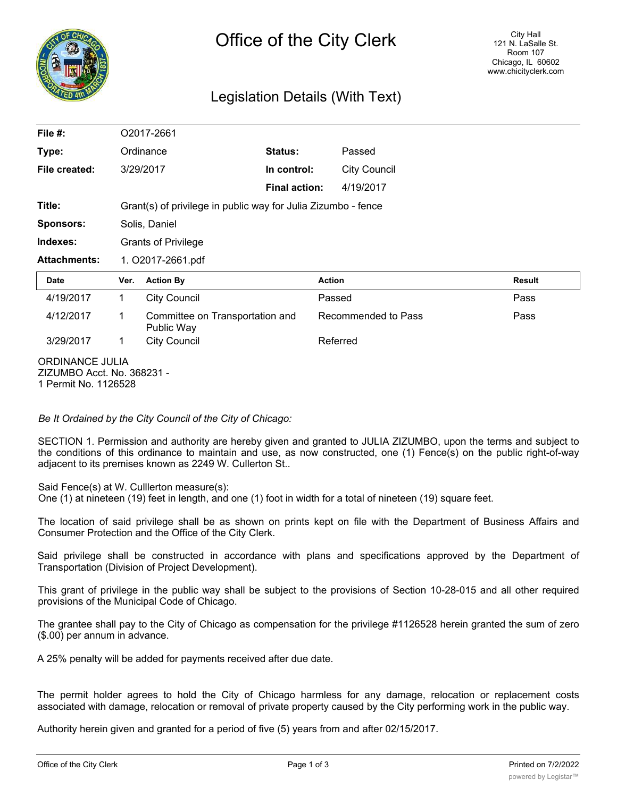

# Legislation Details (With Text)

| File #:             |                                                               | O2017-2661                                    |                      |                     |               |  |
|---------------------|---------------------------------------------------------------|-----------------------------------------------|----------------------|---------------------|---------------|--|
| Type:               |                                                               | Ordinance                                     | <b>Status:</b>       | Passed              |               |  |
| File created:       |                                                               | 3/29/2017                                     | In control:          | <b>City Council</b> |               |  |
|                     |                                                               |                                               | <b>Final action:</b> | 4/19/2017           |               |  |
| Title:              | Grant(s) of privilege in public way for Julia Zizumbo - fence |                                               |                      |                     |               |  |
| <b>Sponsors:</b>    |                                                               | Solis, Daniel                                 |                      |                     |               |  |
| Indexes:            | <b>Grants of Privilege</b>                                    |                                               |                      |                     |               |  |
| <b>Attachments:</b> | 1. O2017-2661.pdf                                             |                                               |                      |                     |               |  |
|                     |                                                               |                                               |                      |                     |               |  |
| <b>Date</b>         | Ver.                                                          | <b>Action By</b>                              | <b>Action</b>        |                     | <b>Result</b> |  |
| 4/19/2017           | $\mathbf{1}$                                                  | <b>City Council</b>                           | Passed               |                     | Pass          |  |
| 4/12/2017           | 1                                                             | Committee on Transportation and<br>Public Way |                      | Recommended to Pass | Pass          |  |
| 3/29/2017           | 1                                                             | <b>City Council</b>                           |                      | Referred            |               |  |

*Be It Ordained by the City Council of the City of Chicago:*

SECTION 1. Permission and authority are hereby given and granted to JULIA ZIZUMBO, upon the terms and subject to the conditions of this ordinance to maintain and use, as now constructed, one (1) Fence(s) on the public right-of-way adjacent to its premises known as 2249 W. Cullerton St..

Said Fence(s) at W. Culllerton measure(s):

One (1) at nineteen (19) feet in length, and one (1) foot in width for a total of nineteen (19) square feet.

The location of said privilege shall be as shown on prints kept on file with the Department of Business Affairs and Consumer Protection and the Office of the City Clerk.

Said privilege shall be constructed in accordance with plans and specifications approved by the Department of Transportation (Division of Project Development).

This grant of privilege in the public way shall be subject to the provisions of Section 10-28-015 and all other required provisions of the Municipal Code of Chicago.

The grantee shall pay to the City of Chicago as compensation for the privilege #1126528 herein granted the sum of zero (\$.00) per annum in advance.

A 25% penalty will be added for payments received after due date.

The permit holder agrees to hold the City of Chicago harmless for any damage, relocation or replacement costs associated with damage, relocation or removal of private property caused by the City performing work in the public way.

Authority herein given and granted for a period of five (5) years from and after 02/15/2017.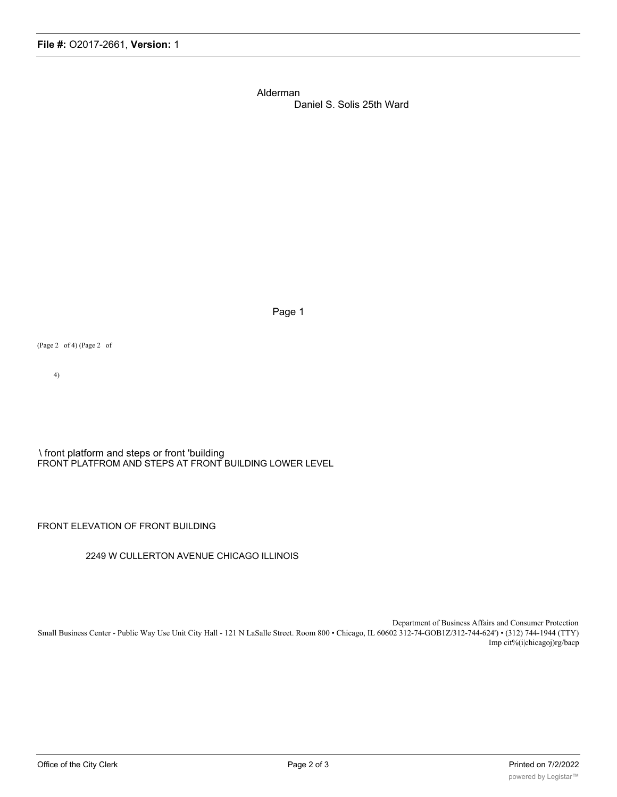Alderman

Daniel S. Solis 25th Ward

Page 1

(Page 2 of 4) (Page 2 of

4)

\ front platform and steps or front 'building FRONT PLATFROM AND STEPS AT FRONT BUILDING LOWER LEVEL

FRONT ELEVATION OF FRONT BUILDING

#### 2249 W CULLERTON AVENUE CHICAGO ILLINOIS

Department of Business Affairs and Consumer Protection Small Business Center - Public Way Use Unit City Hall - 121 N LaSalle Street. Room 800 • Chicago, IL 60602 312-74-GOB1Z/312-744-624') • (312) 744-1944 (TTY) Imp cit%(i|chicagoj)rg/bacp